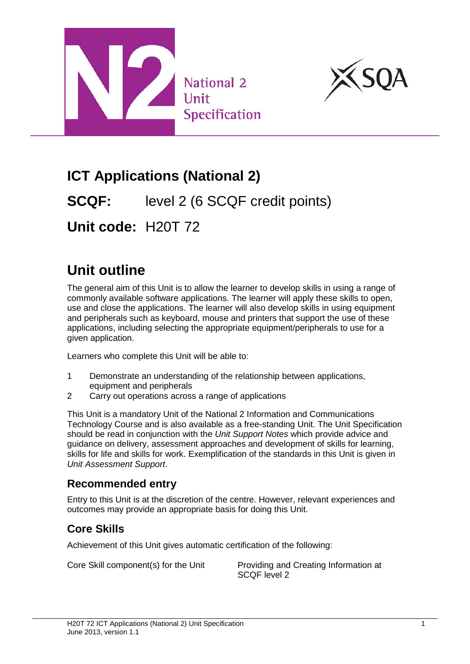



# **ICT Applications (National 2)**

**SCQF:** level 2 (6 SCQF credit points)

**Unit code:** H20T 72

# **Unit outline**

The general aim of this Unit is to allow the learner to develop skills in using a range of commonly available software applications. The learner will apply these skills to open, use and close the applications. The learner will also develop skills in using equipment and peripherals such as keyboard, mouse and printers that support the use of these applications, including selecting the appropriate equipment/peripherals to use for a given application.

Learners who complete this Unit will be able to:

- 1 Demonstrate an understanding of the relationship between applications, equipment and peripherals
- 2 Carry out operations across a range of applications

This Unit is a mandatory Unit of the National 2 Information and Communications Technology Course and is also available as a free-standing Unit. The Unit Specification should be read in conjunction with the *Unit Support Notes* which provide advice and guidance on delivery, assessment approaches and development of skills for learning, skills for life and skills for work. Exemplification of the standards in this Unit is given in *Unit Assessment Support*.

### **Recommended entry**

Entry to this Unit is at the discretion of the centre. However, relevant experiences and outcomes may provide an appropriate basis for doing this Unit.

## **Core Skills**

Achievement of this Unit gives automatic certification of the following:

Core Skill component(s) for the Unit Providing and Creating Information at SCQF level 2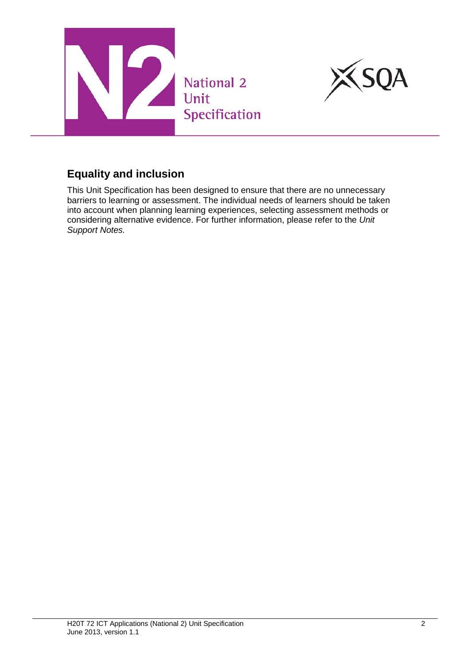



This Unit Specification has been designed to ensure that there are no unnecessary barriers to learning or assessment. The individual needs of learners should be taken into account when planning learning experiences, selecting assessment methods or considering alternative evidence. For further information, please refer to the *Unit Support Notes.*

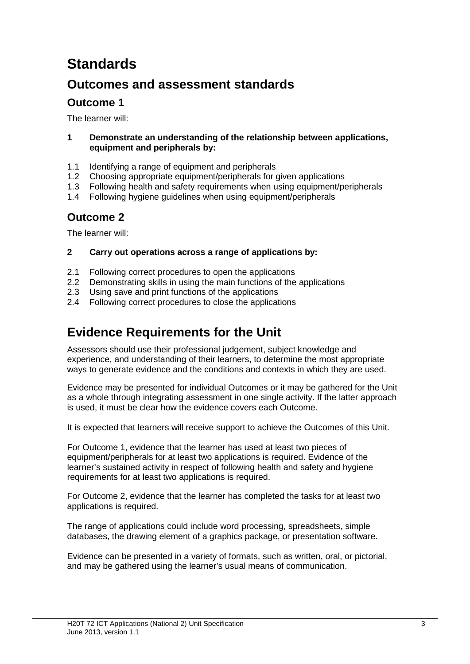# **Standards**

## **Outcomes and assessment standards**

### **Outcome 1**

The learner will:

#### **1 Demonstrate an understanding of the relationship between applications, equipment and peripherals by:**

- 1.1 Identifying a range of equipment and peripherals
- 1.2 Choosing appropriate equipment/peripherals for given applications
- 1.3 Following health and safety requirements when using equipment/peripherals
- 1.4 Following hygiene guidelines when using equipment/peripherals

### **Outcome 2**

The learner will:

#### **2 Carry out operations across a range of applications by:**

- 2.1 Following correct procedures to open the applications
- 2.2 Demonstrating skills in using the main functions of the applications
- 2.3 Using save and print functions of the applications
- 2.4 Following correct procedures to close the applications

## **Evidence Requirements for the Unit**

Assessors should use their professional judgement, subject knowledge and experience, and understanding of their learners, to determine the most appropriate ways to generate evidence and the conditions and contexts in which they are used.

Evidence may be presented for individual Outcomes or it may be gathered for the Unit as a whole through integrating assessment in one single activity. If the latter approach is used, it must be clear how the evidence covers each Outcome.

It is expected that learners will receive support to achieve the Outcomes of this Unit.

For Outcome 1, evidence that the learner has used at least two pieces of equipment/peripherals for at least two applications is required. Evidence of the learner's sustained activity in respect of following health and safety and hygiene requirements for at least two applications is required.

For Outcome 2, evidence that the learner has completed the tasks for at least two applications is required.

The range of applications could include word processing, spreadsheets, simple databases, the drawing element of a graphics package, or presentation software.

Evidence can be presented in a variety of formats, such as written, oral, or pictorial, and may be gathered using the learner's usual means of communication.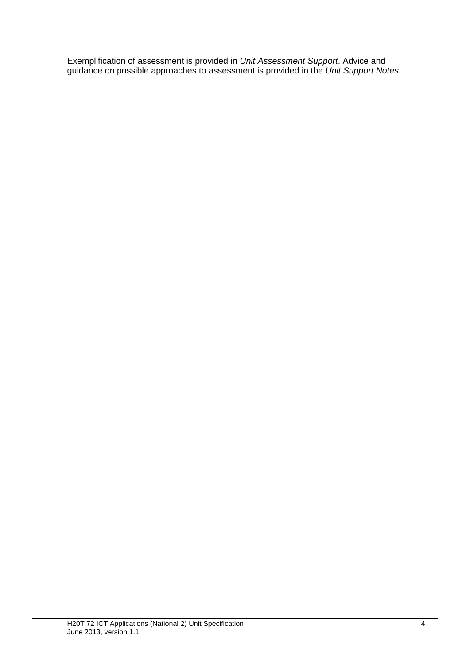Exemplification of assessment is provided in *Unit Assessment Support*. Advice and guidance on possible approaches to assessment is provided in the *Unit Support Notes.*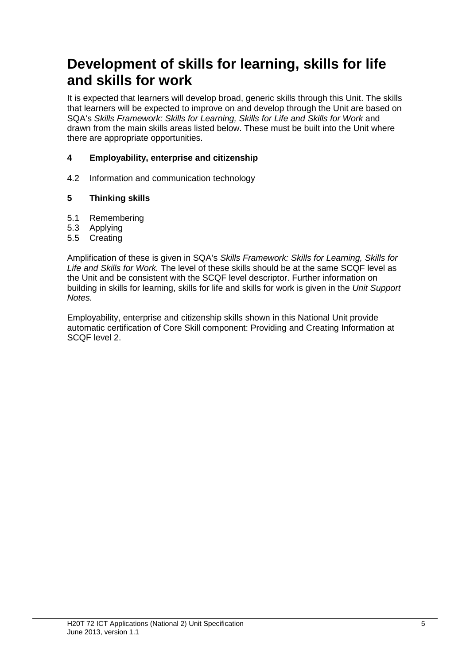## **Development of skills for learning, skills for life and skills for work**

It is expected that learners will develop broad, generic skills through this Unit. The skills that learners will be expected to improve on and develop through the Unit are based on SQA's *Skills Framework: Skills for Learning, Skills for Life and Skills for Work* and drawn from the main skills areas listed below. These must be built into the Unit where there are appropriate opportunities.

#### **4 Employability, enterprise and citizenship**

4.2 Information and communication technology

#### **5 Thinking skills**

- 5.1 Remembering
- 5.3 Applying
- 5.5 Creating

Amplification of these is given in SQA's *Skills Framework: Skills for Learning, Skills for Life and Skills for Work.* The level of these skills should be at the same SCQF level as the Unit and be consistent with the SCQF level descriptor. Further information on building in skills for learning, skills for life and skills for work is given in the *Unit Support Notes.*

Employability, enterprise and citizenship skills shown in this National Unit provide automatic certification of Core Skill component: Providing and Creating Information at SCQF level 2.